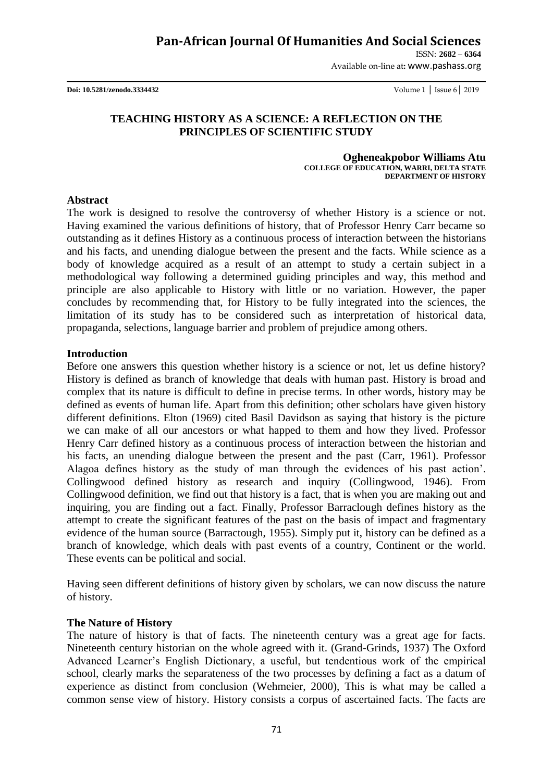# **Pan-African Journal Of Humanities And Social Sciences**

ISSN: **2682 – 6364**

Available on-line at**:** www.pashass.org

**Doi: 10.5281/zenodo.3334432** Volume 1 │ Issue 6│ 2019

## **TEACHING HISTORY AS A SCIENCE: A REFLECTION ON THE PRINCIPLES OF SCIENTIFIC STUDY**

 **Ogheneakpobor Williams Atu COLLEGE OF EDUCATION, WARRI, DELTA STATE DEPARTMENT OF HISTORY**

#### **Abstract**

The work is designed to resolve the controversy of whether History is a science or not. Having examined the various definitions of history, that of Professor Henry Carr became so outstanding as it defines History as a continuous process of interaction between the historians and his facts, and unending dialogue between the present and the facts. While science as a body of knowledge acquired as a result of an attempt to study a certain subject in a methodological way following a determined guiding principles and way, this method and principle are also applicable to History with little or no variation. However, the paper concludes by recommending that, for History to be fully integrated into the sciences, the limitation of its study has to be considered such as interpretation of historical data, propaganda, selections, language barrier and problem of prejudice among others.

#### **Introduction**

Before one answers this question whether history is a science or not, let us define history? History is defined as branch of knowledge that deals with human past. History is broad and complex that its nature is difficult to define in precise terms. In other words, history may be defined as events of human life. Apart from this definition; other scholars have given history different definitions. Elton (1969) cited Basil Davidson as saying that history is the picture we can make of all our ancestors or what happed to them and how they lived. Professor Henry Carr defined history as a continuous process of interaction between the historian and his facts, an unending dialogue between the present and the past (Carr, 1961). Professor Alagoa defines history as the study of man through the evidences of his past action". Collingwood defined history as research and inquiry (Collingwood, 1946). From Collingwood definition, we find out that history is a fact, that is when you are making out and inquiring, you are finding out a fact. Finally, Professor Barraclough defines history as the attempt to create the significant features of the past on the basis of impact and fragmentary evidence of the human source (Barractough, 1955). Simply put it, history can be defined as a branch of knowledge, which deals with past events of a country, Continent or the world. These events can be political and social.

Having seen different definitions of history given by scholars, we can now discuss the nature of history.

## **The Nature of History**

The nature of history is that of facts. The nineteenth century was a great age for facts. Nineteenth century historian on the whole agreed with it. (Grand-Grinds, 1937) The Oxford Advanced Learner"s English Dictionary, a useful, but tendentious work of the empirical school, clearly marks the separateness of the two processes by defining a fact as a datum of experience as distinct from conclusion (Wehmeier, 2000), This is what may be called a common sense view of history. History consists a corpus of ascertained facts. The facts are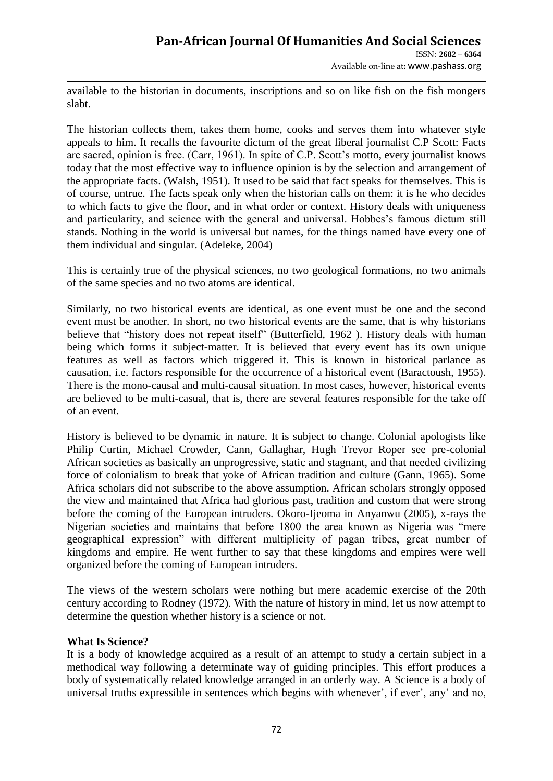## **Pan-African Journal Of Humanities And Social Sciences**  ISSN: **2682 – 6364**

Available on-line at**:** www.pashass.org

available to the historian in documents, inscriptions and so on like fish on the fish mongers slabt.

The historian collects them, takes them home, cooks and serves them into whatever style appeals to him. It recalls the favourite dictum of the great liberal journalist C.P Scott: Facts are sacred, opinion is free. (Carr, 1961). In spite of C.P. Scott's motto, every journalist knows today that the most effective way to influence opinion is by the selection and arrangement of the appropriate facts. (Walsh, 1951). It used to be said that fact speaks for themselves. This is of course, untrue. The facts speak only when the historian calls on them: it is he who decides to which facts to give the floor, and in what order or context. History deals with uniqueness and particularity, and science with the general and universal. Hobbes's famous dictum still stands. Nothing in the world is universal but names, for the things named have every one of them individual and singular. (Adeleke, 2004)

This is certainly true of the physical sciences, no two geological formations, no two animals of the same species and no two atoms are identical.

Similarly, no two historical events are identical, as one event must be one and the second event must be another. In short, no two historical events are the same, that is why historians believe that "history does not repeat itself" (Butterfield, 1962 ). History deals with human being which forms it subject-matter. It is believed that every event has its own unique features as well as factors which triggered it. This is known in historical parlance as causation, i.e. factors responsible for the occurrence of a historical event (Baractoush, 1955). There is the mono-causal and multi-causal situation. In most cases, however, historical events are believed to be multi-casual, that is, there are several features responsible for the take off of an event.

History is believed to be dynamic in nature. It is subject to change. Colonial apologists like Philip Curtin, Michael Crowder, Cann, Gallaghar, Hugh Trevor Roper see pre-colonial African societies as basically an unprogressive, static and stagnant, and that needed civilizing force of colonialism to break that yoke of African tradition and culture (Gann, 1965). Some Africa scholars did not subscribe to the above assumption. African scholars strongly opposed the view and maintained that Africa had glorious past, tradition and custom that were strong before the coming of the European intruders. Okoro-Ijeoma in Anyanwu (2005), x-rays the Nigerian societies and maintains that before 1800 the area known as Nigeria was "mere geographical expression" with different multiplicity of pagan tribes, great number of kingdoms and empire. He went further to say that these kingdoms and empires were well organized before the coming of European intruders.

The views of the western scholars were nothing but mere academic exercise of the 20th century according to Rodney (1972). With the nature of history in mind, let us now attempt to determine the question whether history is a science or not.

## **What Is Science?**

It is a body of knowledge acquired as a result of an attempt to study a certain subject in a methodical way following a determinate way of guiding principles. This effort produces a body of systematically related knowledge arranged in an orderly way. A Science is a body of universal truths expressible in sentences which begins with whenever', if ever', any' and no,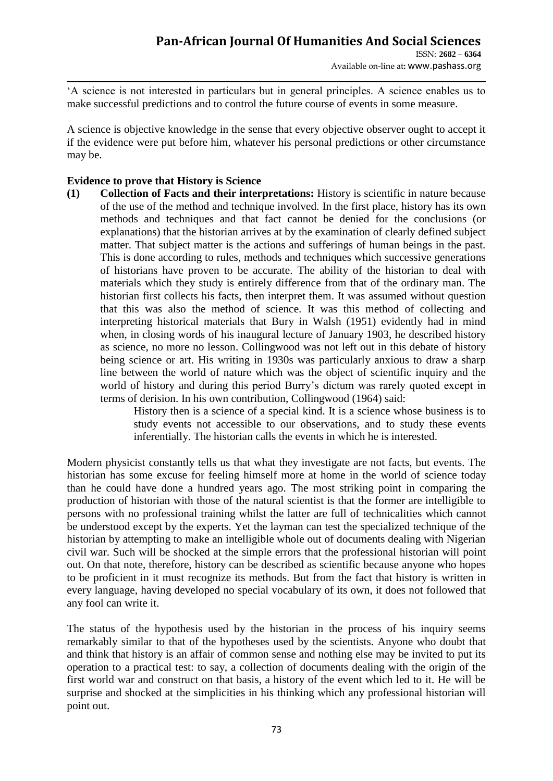Available on-line at**:** www.pashass.org

"A science is not interested in particulars but in general principles. A science enables us to make successful predictions and to control the future course of events in some measure.

A science is objective knowledge in the sense that every objective observer ought to accept it if the evidence were put before him, whatever his personal predictions or other circumstance may be.

## **Evidence to prove that History is Science**

**(1) Collection of Facts and their interpretations:** History is scientific in nature because of the use of the method and technique involved. In the first place, history has its own methods and techniques and that fact cannot be denied for the conclusions (or explanations) that the historian arrives at by the examination of clearly defined subject matter. That subject matter is the actions and sufferings of human beings in the past. This is done according to rules, methods and techniques which successive generations of historians have proven to be accurate. The ability of the historian to deal with materials which they study is entirely difference from that of the ordinary man. The historian first collects his facts, then interpret them. It was assumed without question that this was also the method of science. It was this method of collecting and interpreting historical materials that Bury in Walsh (1951) evidently had in mind when, in closing words of his inaugural lecture of January 1903, he described history as science, no more no lesson. Collingwood was not left out in this debate of history being science or art. His writing in 1930s was particularly anxious to draw a sharp line between the world of nature which was the object of scientific inquiry and the world of history and during this period Burry's dictum was rarely quoted except in terms of derision. In his own contribution, Collingwood (1964) said:

> History then is a science of a special kind. It is a science whose business is to study events not accessible to our observations, and to study these events inferentially. The historian calls the events in which he is interested.

Modern physicist constantly tells us that what they investigate are not facts, but events. The historian has some excuse for feeling himself more at home in the world of science today than he could have done a hundred years ago. The most striking point in comparing the production of historian with those of the natural scientist is that the former are intelligible to persons with no professional training whilst the latter are full of technicalities which cannot be understood except by the experts. Yet the layman can test the specialized technique of the historian by attempting to make an intelligible whole out of documents dealing with Nigerian civil war. Such will be shocked at the simple errors that the professional historian will point out. On that note, therefore, history can be described as scientific because anyone who hopes to be proficient in it must recognize its methods. But from the fact that history is written in every language, having developed no special vocabulary of its own, it does not followed that any fool can write it.

The status of the hypothesis used by the historian in the process of his inquiry seems remarkably similar to that of the hypotheses used by the scientists. Anyone who doubt that and think that history is an affair of common sense and nothing else may be invited to put its operation to a practical test: to say, a collection of documents dealing with the origin of the first world war and construct on that basis, a history of the event which led to it. He will be surprise and shocked at the simplicities in his thinking which any professional historian will point out.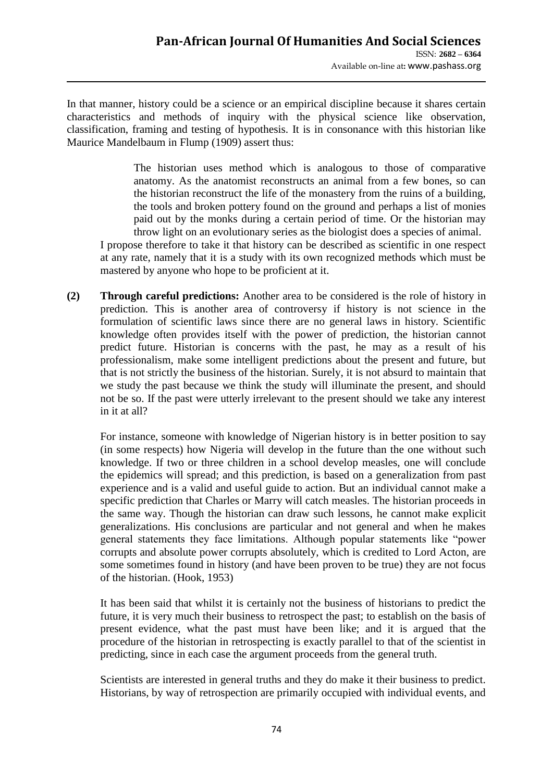In that manner, history could be a science or an empirical discipline because it shares certain characteristics and methods of inquiry with the physical science like observation, classification, framing and testing of hypothesis. It is in consonance with this historian like Maurice Mandelbaum in Flump (1909) assert thus:

> The historian uses method which is analogous to those of comparative anatomy. As the anatomist reconstructs an animal from a few bones, so can the historian reconstruct the life of the monastery from the ruins of a building, the tools and broken pottery found on the ground and perhaps a list of monies paid out by the monks during a certain period of time. Or the historian may throw light on an evolutionary series as the biologist does a species of animal.

I propose therefore to take it that history can be described as scientific in one respect at any rate, namely that it is a study with its own recognized methods which must be mastered by anyone who hope to be proficient at it.

**(2) Through careful predictions:** Another area to be considered is the role of history in prediction. This is another area of controversy if history is not science in the formulation of scientific laws since there are no general laws in history. Scientific knowledge often provides itself with the power of prediction, the historian cannot predict future. Historian is concerns with the past, he may as a result of his professionalism, make some intelligent predictions about the present and future, but that is not strictly the business of the historian. Surely, it is not absurd to maintain that we study the past because we think the study will illuminate the present, and should not be so. If the past were utterly irrelevant to the present should we take any interest in it at all?

For instance, someone with knowledge of Nigerian history is in better position to say (in some respects) how Nigeria will develop in the future than the one without such knowledge. If two or three children in a school develop measles, one will conclude the epidemics will spread; and this prediction, is based on a generalization from past experience and is a valid and useful guide to action. But an individual cannot make a specific prediction that Charles or Marry will catch measles. The historian proceeds in the same way. Though the historian can draw such lessons, he cannot make explicit generalizations. His conclusions are particular and not general and when he makes general statements they face limitations. Although popular statements like "power corrupts and absolute power corrupts absolutely, which is credited to Lord Acton, are some sometimes found in history (and have been proven to be true) they are not focus of the historian. (Hook, 1953)

It has been said that whilst it is certainly not the business of historians to predict the future, it is very much their business to retrospect the past; to establish on the basis of present evidence, what the past must have been like; and it is argued that the procedure of the historian in retrospecting is exactly parallel to that of the scientist in predicting, since in each case the argument proceeds from the general truth.

Scientists are interested in general truths and they do make it their business to predict. Historians, by way of retrospection are primarily occupied with individual events, and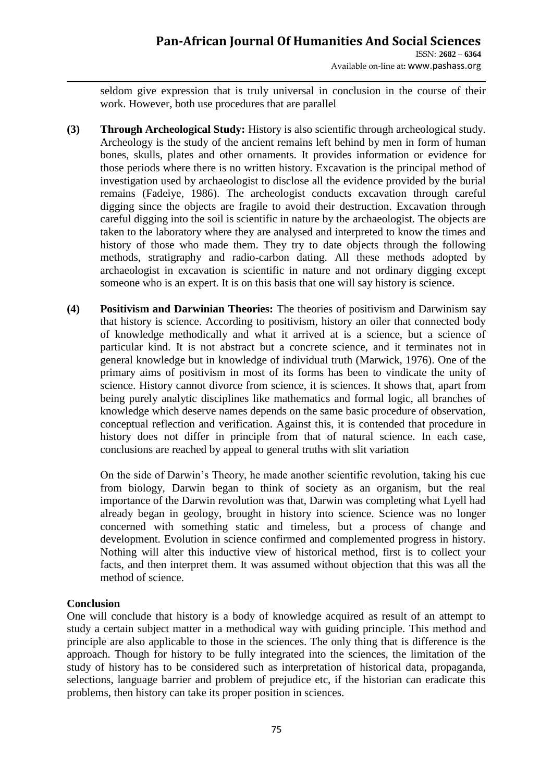# **Pan-African Journal Of Humanities And Social Sciences**

ISSN: **2682 – 6364** Available on-line at**:** www.pashass.org

seldom give expression that is truly universal in conclusion in the course of their work. However, both use procedures that are parallel

- **(3) Through Archeological Study:** History is also scientific through archeological study. Archeology is the study of the ancient remains left behind by men in form of human bones, skulls, plates and other ornaments. It provides information or evidence for those periods where there is no written history. Excavation is the principal method of investigation used by archaeologist to disclose all the evidence provided by the burial remains (Fadeiye, 1986). The archeologist conducts excavation through careful digging since the objects are fragile to avoid their destruction. Excavation through careful digging into the soil is scientific in nature by the archaeologist. The objects are taken to the laboratory where they are analysed and interpreted to know the times and history of those who made them. They try to date objects through the following methods, stratigraphy and radio-carbon dating. All these methods adopted by archaeologist in excavation is scientific in nature and not ordinary digging except someone who is an expert. It is on this basis that one will say history is science.
- **(4) Positivism and Darwinian Theories:** The theories of positivism and Darwinism say that history is science. According to positivism, history an oiler that connected body of knowledge methodically and what it arrived at is a science, but a science of particular kind. It is not abstract but a concrete science, and it terminates not in general knowledge but in knowledge of individual truth (Marwick, 1976). One of the primary aims of positivism in most of its forms has been to vindicate the unity of science. History cannot divorce from science, it is sciences. It shows that, apart from being purely analytic disciplines like mathematics and formal logic, all branches of knowledge which deserve names depends on the same basic procedure of observation, conceptual reflection and verification. Against this, it is contended that procedure in history does not differ in principle from that of natural science. In each case, conclusions are reached by appeal to general truths with slit variation

On the side of Darwin"s Theory, he made another scientific revolution, taking his cue from biology, Darwin began to think of society as an organism, but the real importance of the Darwin revolution was that, Darwin was completing what Lyell had already began in geology, brought in history into science. Science was no longer concerned with something static and timeless, but a process of change and development. Evolution in science confirmed and complemented progress in history. Nothing will alter this inductive view of historical method, first is to collect your facts, and then interpret them. It was assumed without objection that this was all the method of science.

## **Conclusion**

One will conclude that history is a body of knowledge acquired as result of an attempt to study a certain subject matter in a methodical way with guiding principle. This method and principle are also applicable to those in the sciences. The only thing that is difference is the approach. Though for history to be fully integrated into the sciences, the limitation of the study of history has to be considered such as interpretation of historical data, propaganda, selections, language barrier and problem of prejudice etc, if the historian can eradicate this problems, then history can take its proper position in sciences.